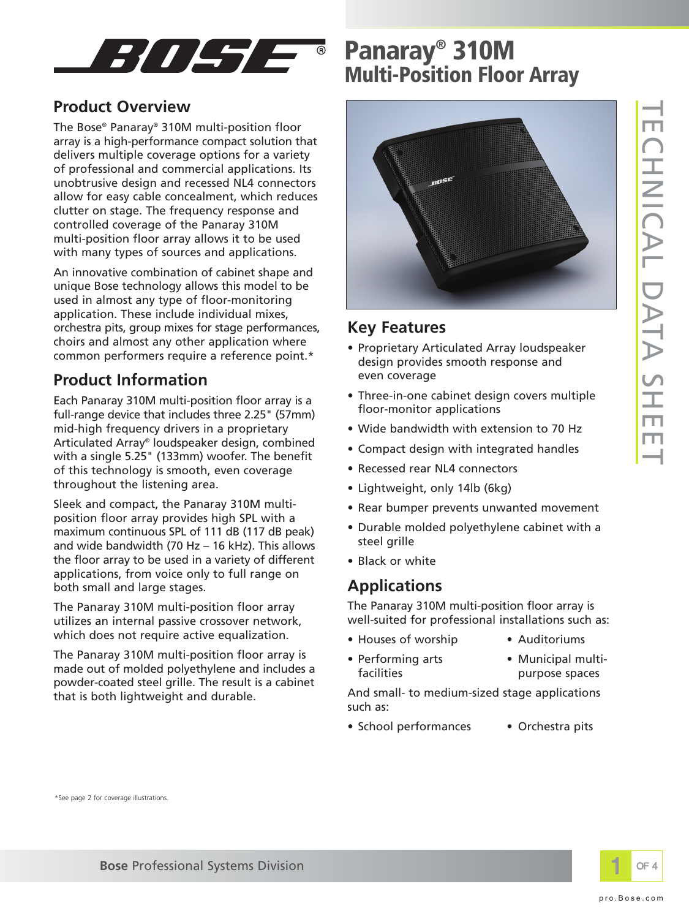

### **Product Overview**

The Bose® Panaray® 310M multi-position floor array is a high-performance compact solution that delivers multiple coverage options for a variety of professional and commercial applications. Its unobtrusive design and recessed NL4 connectors allow for easy cable concealment, which reduces clutter on stage. The frequency response and controlled coverage of the Panaray 310M multi-position floor array allows it to be used with many types of sources and applications.

An innovative combination of cabinet shape and unique Bose technology allows this model to be used in almost any type of floor-monitoring application. These include individual mixes, orchestra pits, group mixes for stage performances, choirs and almost any other application where common performers require a reference point.\*

## **Product Information**

Each Panaray 310M multi-position floor array is a full-range device that includes three 2.25" (57mm) mid-high frequency drivers in a proprietary Articulated Array® loudspeaker design, combined with a single 5.25" (133mm) woofer. The benefit of this technology is smooth, even coverage throughout the listening area.

Sleek and compact, the Panaray 310M multiposition floor array provides high SPL with a maximum continuous SPL of 111 dB (117 dB peak) and wide bandwidth (70 Hz – 16 kHz). This allows the floor array to be used in a variety of different applications, from voice only to full range on both small and large stages.

The Panaray 310M multi-position floor array utilizes an internal passive crossover network, which does not require active equalization.

The Panaray 310M multi-position floor array is made out of molded polyethylene and includes a powder-coated steel grille. The result is a cabinet that is both lightweight and durable.

# **Panaray® 310M Multi-Position Floor Array**



### **Key Features**

- Proprietary Articulated Array loudspeaker design provides smooth response and even coverage
- Three-in-one cabinet design covers multiple floor-monitor applications
- Wide bandwidth with extension to 70 Hz
- Compact design with integrated handles
- Recessed rear NL4 connectors
- Lightweight, only 14lb (6kg)
- Rear bumper prevents unwanted movement
- Durable molded polyethylene cabinet with a steel grille
- Black or white

## **Applications**

The Panaray 310M multi-position floor array is well-suited for professional installations such as:

- Houses of worship Auditoriums
	-
- 
- Performing arts Municipal multifacilities **purpose** spaces

And small- to medium-sized stage applications such as:

- School performances Orchestra pits
- 

\*See page 2 for coverage illustrations.

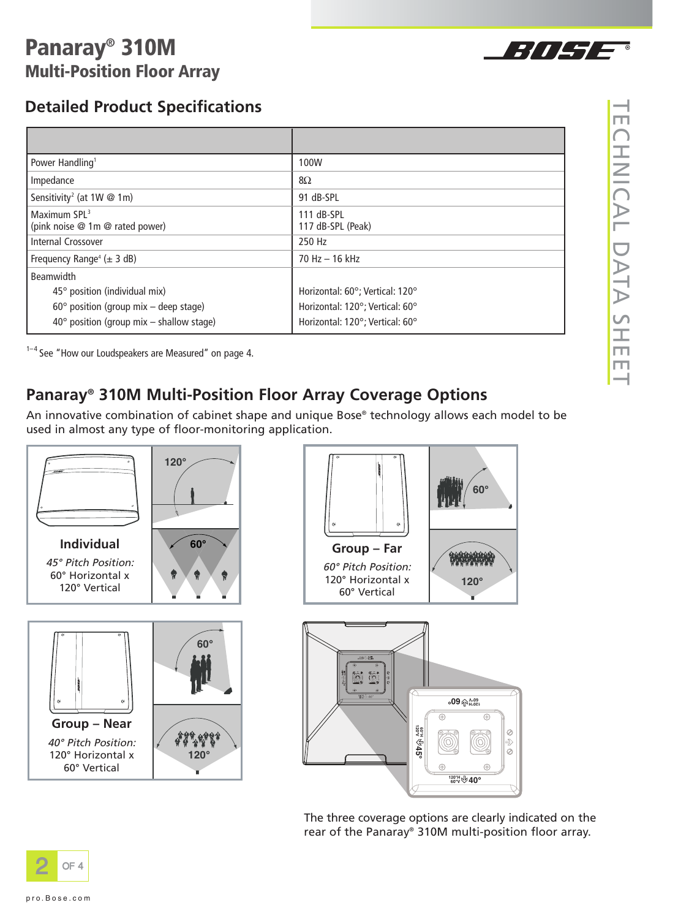# **Panaray® 310M Multi-Position Floor Array**

## **Detailed Product Specifications**

| Power Handling <sup>1</sup>                           | 100W                            |
|-------------------------------------------------------|---------------------------------|
| Impedance                                             | 8Ω                              |
| Sensitivity <sup>2</sup> (at 1W @ 1m)                 | 91 dB-SPL                       |
| Maximum $SPL3$<br>(pink noise $@$ 1m $@$ rated power) | 111 dB-SPL<br>117 dB-SPL (Peak) |
| Internal Crossover                                    | 250 Hz                          |
| Frequency Range <sup>4</sup> ( $\pm$ 3 dB)            | 70 Hz - 16 kHz                  |
| <b>Beamwidth</b>                                      |                                 |
| 45° position (individual mix)                         | Horizontal: 60°; Vertical: 120° |
| $60^{\circ}$ position (group mix - deep stage)        | Horizontal: 120°; Vertical: 60° |
| $40^{\circ}$ position (group mix - shallow stage)     | Horizontal: 120°; Vertical: 60° |

 $1-4$  See "How our Loudspeakers are Measured" on page 4.

## **Panaray® 310M Multi-Position Floor Array Coverage Options**

An innovative combination of cabinet shape and unique Bose® technology allows each model to be used in almost any type of floor-monitoring application.



The three coverage options are clearly indicated on the rear of the Panaray® 310M multi-position floor array.



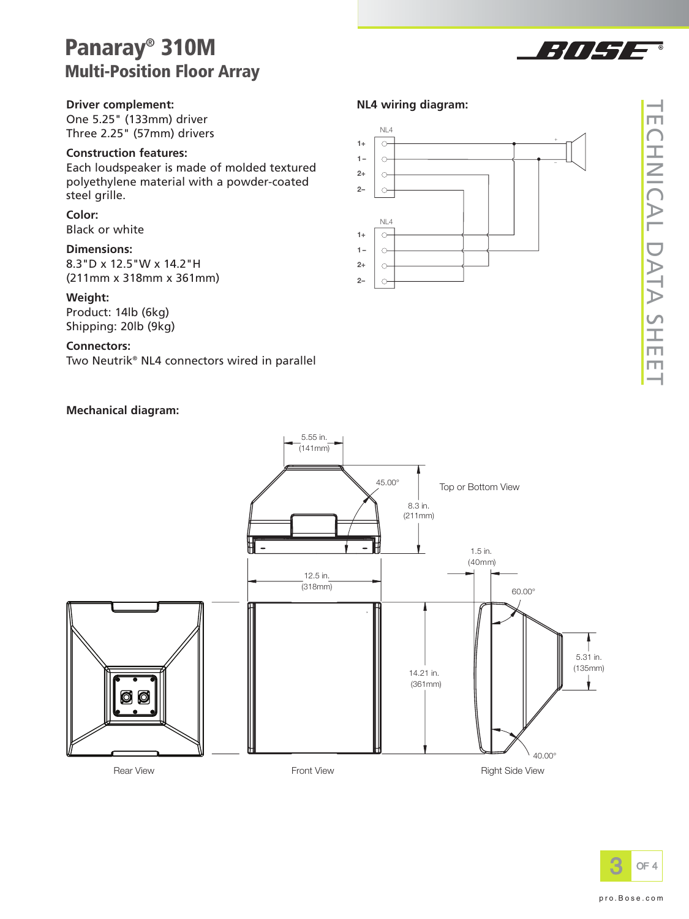## **Panaray® 310M Multi-Position Floor Array**

#### **Driver complement:**

One 5.25" (133mm) driver Three 2.25" (57mm) drivers

#### **Construction features:**

Each loudspeaker is made of molded textured polyethylene material with a powder-coated steel grille.

#### **Color:**

Black or white

#### **Dimensions:**

8.3"D x 12.5"W x 14.2"H (211mm x 318mm x 361mm)

#### **Weight:**

Product: 14lb (6kg) Shipping: 20lb (9kg)

#### **Connectors:**

Two Neutrik® NL4 connectors wired in parallel

#### **Mechanical diagram:**



777 LT



**1 – 2+ 2 –**

 $\circ$  $\circ$  $\circ$